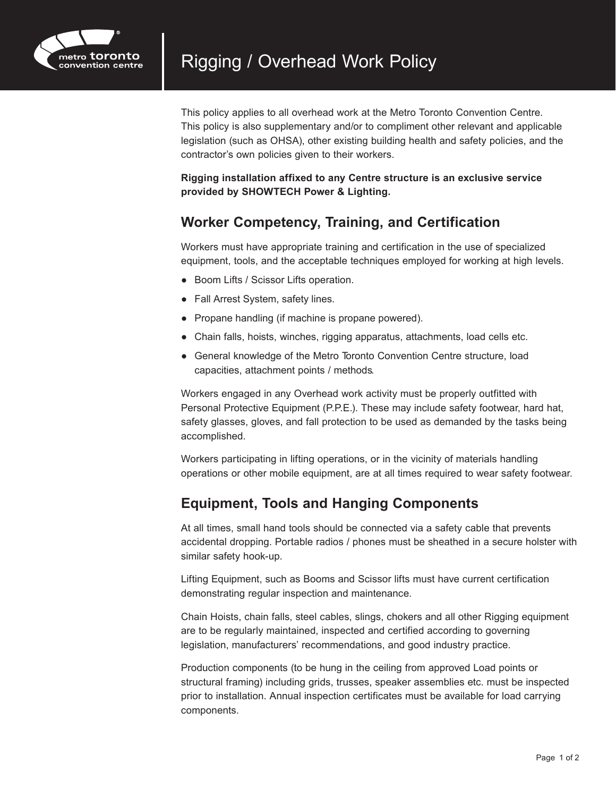

This policy applies to all overhead work at the Metro Toronto Convention Centre. This policy is also supplementary and/or to compliment other relevant and applicable legislation (such as OHSA), other existing building health and safety policies, and the contractor's own policies given to their workers.

**Rigging installation affixed to any Centre structure is an exclusive service provided by SHOWTECH Power & Lighting.**

## **Worker Competency, Training, and Certification**

Workers must have appropriate training and certification in the use of specialized equipment, tools, and the acceptable techniques employed for working at high levels.

- Boom Lifts / Scissor Lifts operation.
- Fall Arrest System, safety lines.
- Propane handling (if machine is propane powered).
- Chain falls, hoists, winches, rigging apparatus, attachments, load cells etc.
- General knowledge of the Metro Toronto Convention Centre structure, load capacities, attachment points / methods.

Workers engaged in any Overhead work activity must be properly outfitted with Personal Protective Equipment (P.P.E.). These may include safety footwear, hard hat, safety glasses, gloves, and fall protection to be used as demanded by the tasks being accomplished.

Workers participating in lifting operations, or in the vicinity of materials handling operations or other mobile equipment, are at all times required to wear safety footwear.

# **Equipment, Tools and Hanging Components**

At all times, small hand tools should be connected via a safety cable that prevents accidental dropping. Portable radios / phones must be sheathed in a secure holster with similar safety hook-up.

Lifting Equipment, such as Booms and Scissor lifts must have current certification demonstrating regular inspection and maintenance.

Chain Hoists, chain falls, steel cables, slings, chokers and all other Rigging equipment are to be regularly maintained, inspected and certified according to governing legislation, manufacturers' recommendations, and good industry practice.

Production components (to be hung in the ceiling from approved Load points or structural framing) including grids, trusses, speaker assemblies etc. must be inspected prior to installation. Annual inspection certificates must be available for load carrying components.